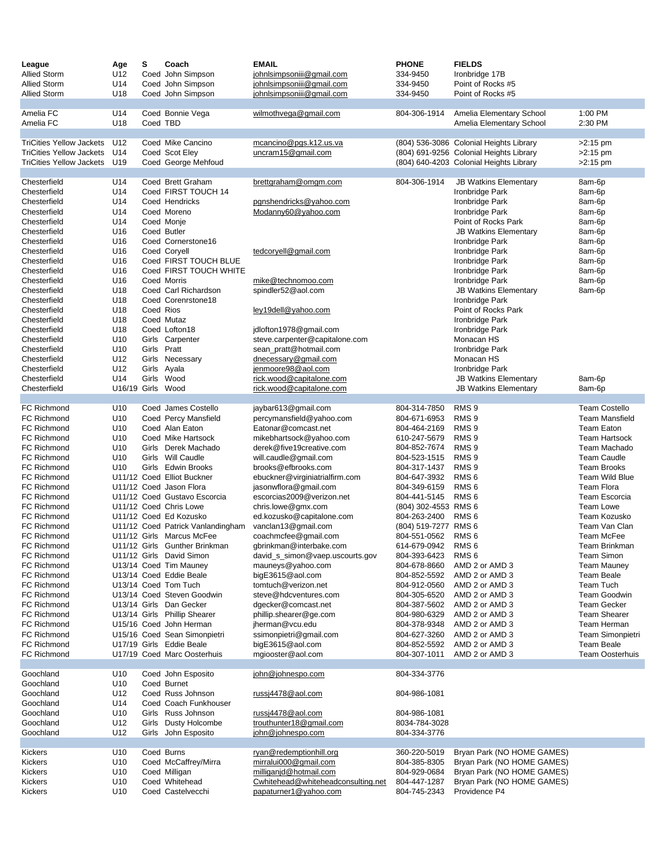| League<br><b>Allied Storm</b>            | Age<br>U12                         | s           | Coach<br>Coed John Simpson                         | <b>EMAIL</b><br>johnlsimpsoniii@gmail.com           | <b>PHONE</b><br>334-9450             | <b>FIELDS</b><br>Ironbridge 17B                 |                                      |
|------------------------------------------|------------------------------------|-------------|----------------------------------------------------|-----------------------------------------------------|--------------------------------------|-------------------------------------------------|--------------------------------------|
| <b>Allied Storm</b>                      | U14                                |             | Coed John Simpson                                  | johnlsimpsoniii@gmail.com                           | 334-9450                             | Point of Rocks #5                               |                                      |
| <b>Allied Storm</b>                      | U18                                |             | Coed John Simpson                                  | johnlsimpsoniii@gmail.com                           | 334-9450                             | Point of Rocks #5                               |                                      |
|                                          |                                    |             |                                                    |                                                     |                                      |                                                 |                                      |
| Amelia FC                                | U14                                |             | Coed Bonnie Vega                                   | wilmothvega@gmail.com                               | 804-306-1914                         | Amelia Elementary School                        | 1:00 PM                              |
| Amelia FC                                | U18                                | Coed TBD    |                                                    |                                                     |                                      | Amelia Elementary School                        | 2:30 PM                              |
| <b>TriCities Yellow Jackets</b>          | U12                                |             | Coed Mike Cancino                                  | mcancino@pgs.k12.us.va                              |                                      | (804) 536-3086 Colonial Heights Library         | $>2:15$ pm                           |
| <b>TriCities Yellow Jackets</b>          | U14                                |             | Coed Scot Eley                                     | uncram15@gmail.com                                  |                                      | (804) 691-9256 Colonial Heights Library         | $>2:15$ pm                           |
| <b>TriCities Yellow Jackets</b>          | U19                                |             | Coed George Mehfoud                                |                                                     |                                      | (804) 640-4203 Colonial Heights Library         | $>2:15$ pm                           |
|                                          |                                    |             |                                                    |                                                     |                                      |                                                 |                                      |
| Chesterfield                             | U14                                |             | Coed Brett Graham                                  | brettgraham@omgm.com                                | 804-306-1914                         | <b>JB Watkins Elementary</b>                    | 8am-6p                               |
| Chesterfield                             | U14                                |             | Coed FIRST TOUCH 14                                |                                                     |                                      | Ironbridge Park                                 | 8am-6p                               |
| Chesterfield<br>Chesterfield             | U14<br>U14                         |             | Coed Hendricks<br>Coed Moreno                      | pgnshendricks@yahoo.com<br>Modanny60@yahoo.com      |                                      | Ironbridge Park<br>Ironbridge Park              | 8am-6p<br>8am-6p                     |
| Chesterfield                             | U14                                |             | Coed Monje                                         |                                                     |                                      | Point of Rocks Park                             | 8am-6p                               |
| Chesterfield                             | U16                                |             | Coed Butler                                        |                                                     |                                      | <b>JB Watkins Elementary</b>                    | 8am-6p                               |
| Chesterfield                             | U16                                |             | Coed Cornerstone16                                 |                                                     |                                      | Ironbridge Park                                 | 8am-6p                               |
| Chesterfield                             | U16                                |             | Coed Coryell                                       | tedcoryell@gmail.com                                |                                      | Ironbridge Park                                 | 8am-6p                               |
| Chesterfield                             | U16                                |             | Coed FIRST TOUCH BLUE                              |                                                     |                                      | Ironbridge Park                                 | 8am-6p                               |
| Chesterfield                             | U16                                |             | Coed FIRST TOUCH WHITE                             |                                                     |                                      | Ironbridge Park                                 | 8am-6p                               |
| Chesterfield<br>Chesterfield             | U16<br>U18                         |             | Coed Morris<br>Coed Carl Richardson                | mike@technomoo.com<br>spindler52@aol.com            |                                      | Ironbridge Park<br><b>JB Watkins Elementary</b> | 8am-6p                               |
| Chesterfield                             | U18                                |             | Coed Corenrstone18                                 |                                                     |                                      | Ironbridge Park                                 | 8am-6p                               |
| Chesterfield                             | U18                                | Coed Rios   |                                                    | ley19dell@yahoo.com                                 |                                      | Point of Rocks Park                             |                                      |
| Chesterfield                             | U18                                |             | Coed Mutaz                                         |                                                     |                                      | Ironbridge Park                                 |                                      |
| Chesterfield                             | U18                                |             | Coed Lofton18                                      | jdlofton1978@gmail.com                              |                                      | Ironbridge Park                                 |                                      |
| Chesterfield                             | U <sub>10</sub>                    |             | Girls Carpenter                                    | steve.carpenter@capitalone.com                      |                                      | Monacan HS                                      |                                      |
| Chesterfield                             | U10                                | Girls Pratt |                                                    | sean_pratt@hotmail.com                              |                                      | Ironbridge Park                                 |                                      |
| Chesterfield<br>Chesterfield             | U12<br>U12                         |             | Girls Necessary                                    | dnecessary@gmail.com<br>jenmoore98@aol.com          |                                      | Monacan HS                                      |                                      |
| Chesterfield                             | U14                                |             | Girls Ayala<br>Girls Wood                          | rick.wood@capitalone.com                            |                                      | Ironbridge Park<br><b>JB Watkins Elementary</b> | 8am-6p                               |
| Chesterfield                             | U16/19 Girls Wood                  |             |                                                    | rick.wood@capitalone.com                            |                                      | <b>JB Watkins Elementary</b>                    | 8am-6p                               |
|                                          |                                    |             |                                                    |                                                     |                                      |                                                 |                                      |
| <b>FC Richmond</b>                       | U10                                |             | Coed James Costello                                | jaybar613@gmail.com                                 | 804-314-7850                         | RMS <sub>9</sub>                                | <b>Team Costello</b>                 |
| <b>FC Richmond</b>                       | U10                                |             | Coed Percy Mansfield                               | percymansfield@yahoo.com                            | 804-671-6953                         | RMS <sub>9</sub>                                | <b>Team Mansfield</b>                |
| <b>FC Richmond</b>                       | U10                                |             | Coed Alan Eaton                                    | Eatonar@comcast.net                                 | 804-464-2169                         | RMS <sub>9</sub>                                | <b>Team Eaton</b>                    |
| <b>FC Richmond</b><br><b>FC Richmond</b> | U <sub>10</sub><br>U <sub>10</sub> |             | Coed Mike Hartsock<br>Girls Derek Machado          | mikebhartsock@yahoo.com<br>derek@five19creative.com | 610-247-5679<br>804-852-7674         | RMS <sub>9</sub><br>RMS <sub>9</sub>            | <b>Team Hartsock</b><br>Team Machado |
| <b>FC Richmond</b>                       | U10                                |             | Girls Will Caudle                                  | will.caudle@gmail.com                               | 804-523-1515                         | RMS <sub>9</sub>                                | <b>Team Caudle</b>                   |
| <b>FC Richmond</b>                       | U <sub>10</sub>                    |             | Girls Edwin Brooks                                 | brooks@efbrooks.com                                 | 804-317-1437                         | RMS <sub>9</sub>                                | <b>Team Brooks</b>                   |
| <b>FC Richmond</b>                       |                                    |             | U11/12 Coed Elliot Buckner                         | ebuckner@virginiatrialfirm.com                      | 804-647-3932                         | RMS <sub>6</sub>                                | Team Wild Blue                       |
| <b>FC Richmond</b>                       |                                    |             | U11/12 Coed Jason Flora                            | jasonwflora@gmail.com                               | 804-349-6159                         | RMS <sub>6</sub>                                | <b>Team Flora</b>                    |
| <b>FC Richmond</b>                       |                                    |             | U11/12 Coed Gustavo Escorcia                       | escorcias2009@verizon.net                           | 804-441-5145                         | RMS <sub>6</sub>                                | Team Escorcia                        |
| <b>FC Richmond</b><br><b>FC Richmond</b> |                                    |             | U11/12 Coed Chris Lowe<br>U11/12 Coed Ed Kozusko   | chris.lowe@gmx.com<br>ed.kozusko@capitalone.com     | (804) 302-4553 RMS 6                 | RMS <sub>6</sub>                                | <b>Team Lowe</b><br>Team Kozusko     |
| FC Richmond                              |                                    |             | U11/12 Coed Patrick Vanlandingham                  | vanclan13@gmail.com                                 | 804-263-2400<br>(804) 519-7277 RMS 6 |                                                 | Team Van Clan                        |
| <b>FC Richmond</b>                       |                                    |             | U11/12 Girls Marcus McFee                          | coachmcfee@gmail.com                                | 804-551-0562                         | RMS <sub>6</sub>                                | Team McFee                           |
| <b>FC Richmond</b>                       |                                    |             | U11/12 Girls Gunther Brinkman                      | gbrinkman@interbake.com                             | 614-679-0942                         | RMS <sub>6</sub>                                | Team Brinkman                        |
| FC Richmond                              |                                    |             | U11/12 Girls David Simon                           | david_s_simon@vaep.uscourts.gov                     | 804-393-6423                         | RMS <sub>6</sub>                                | Team Simon                           |
| FC Richmond                              |                                    |             | U13/14 Coed Tim Mauney                             | mauneys@yahoo.com                                   | 804-678-8660                         | AMD 2 or AMD 3                                  | <b>Team Mauney</b>                   |
| <b>FC Richmond</b>                       |                                    |             | U13/14 Coed Eddie Beale                            | bigE3615@aol.com                                    | 804-852-5592                         | AMD 2 or AMD 3                                  | Team Beale                           |
| <b>FC Richmond</b><br><b>FC Richmond</b> |                                    |             | U13/14 Coed Tom Tuch<br>U13/14 Coed Steven Goodwin | tomtuch@verizon.net<br>steve@hdcventures.com        | 804-912-0560<br>804-305-6520         | AMD 2 or AMD 3<br>AMD 2 or AMD 3                | Team Tuch<br><b>Team Goodwin</b>     |
| FC Richmond                              |                                    |             | U13/14 Girls Dan Gecker                            | dgecker@comcast.net                                 | 804-387-5602                         | AMD 2 or AMD 3                                  | <b>Team Gecker</b>                   |
| <b>FC Richmond</b>                       |                                    |             | U13/14 Girls Phillip Shearer                       | phillip.shearer@ge.com                              | 804-980-6329                         | AMD 2 or AMD 3                                  | <b>Team Shearer</b>                  |
| FC Richmond                              |                                    |             | U15/16 Coed John Herman                            | jherman@vcu.edu                                     | 804-378-9348                         | AMD 2 or AMD 3                                  | Team Herman                          |
| <b>FC Richmond</b>                       |                                    |             | U15/16 Coed Sean Simonpietri                       | ssimonpietri@gmail.com                              | 804-627-3260                         | AMD 2 or AMD 3                                  | Team Simonpietri                     |
| FC Richmond                              |                                    |             | U17/19 Girls Eddie Beale                           | bigE3615@aol.com                                    | 804-852-5592                         | AMD 2 or AMD 3                                  | <b>Team Beale</b>                    |
| FC Richmond                              |                                    |             | U17/19 Coed Marc Oosterhuis                        | mgiooster@aol.com                                   | 804-307-1011                         | AMD 2 or AMD 3                                  | <b>Team Oosterhuis</b>               |
| Goochland                                | U10                                |             | Coed John Esposito                                 | john@johnespo.com                                   | 804-334-3776                         |                                                 |                                      |
| Goochland                                | U10                                |             | Coed Burnet                                        |                                                     |                                      |                                                 |                                      |
| Goochland                                | U12                                |             | Coed Russ Johnson                                  | russj4478@aol.com                                   | 804-986-1081                         |                                                 |                                      |
| Goochland                                | U14                                |             | Coed Coach Funkhouser                              |                                                     |                                      |                                                 |                                      |
| Goochland                                | U <sub>10</sub>                    |             | Girls Russ Johnson                                 | russj4478@aol.com                                   | 804-986-1081                         |                                                 |                                      |
| Goochland                                | U12                                |             | Girls Dusty Holcombe                               | trouthunter18@gmail.com                             | 8034-784-3028                        |                                                 |                                      |
| Goochland                                | U12                                |             | Girls John Esposito                                | john@johnespo.com                                   | 804-334-3776                         |                                                 |                                      |
| Kickers                                  | U10                                |             | Coed Burns                                         | ryan@redemptionhill.org                             | 360-220-5019                         | Bryan Park (NO HOME GAMES)                      |                                      |
| Kickers                                  | U10                                |             | Coed McCaffrey/Mirra                               | mirralui000@gmail.com                               | 804-385-8305                         | Bryan Park (NO HOME GAMES)                      |                                      |
| <b>Kickers</b>                           | U10                                |             | Coed Milligan                                      | milliganid@hotmail.com                              | 804-929-0684                         | Bryan Park (NO HOME GAMES)                      |                                      |
| <b>Kickers</b>                           | U10                                |             | Coed Whitehead                                     | Cwhitehead@whiteheadconsulting.net                  | 804-447-1287                         | Bryan Park (NO HOME GAMES)                      |                                      |
| <b>Kickers</b>                           | U10                                |             | Coed Castelvecchi                                  | papaturner1@yahoo.com                               | 804-745-2343                         | Providence P4                                   |                                      |
|                                          |                                    |             |                                                    |                                                     |                                      |                                                 |                                      |